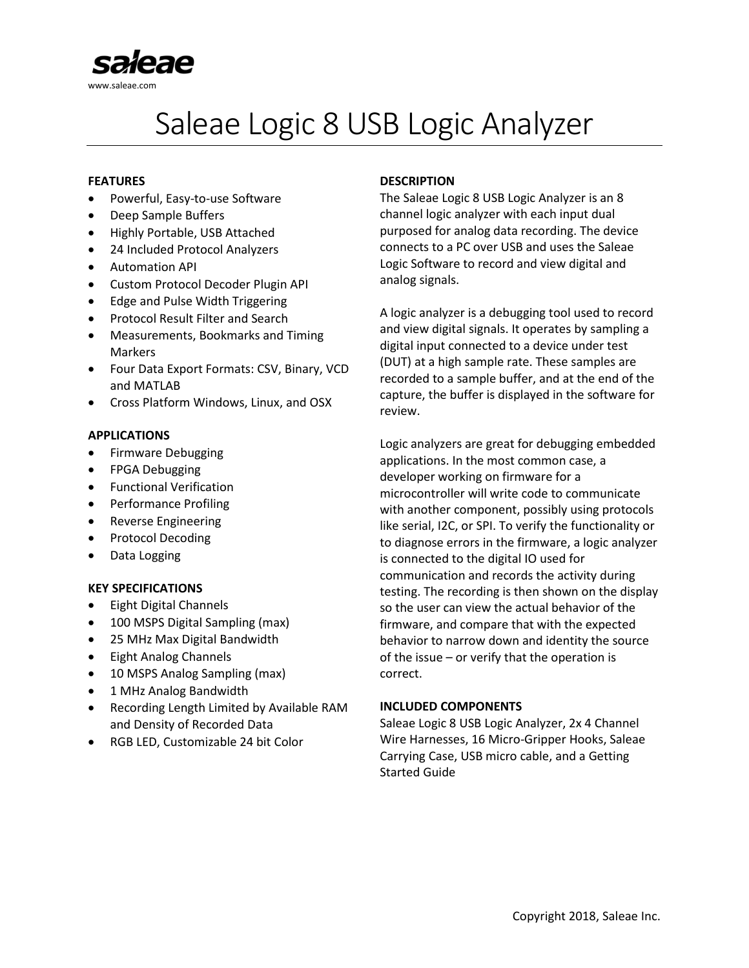

# Saleae Logic 8 USB Logic Analyzer

#### **FEATURES**

- Powerful, Easy-to-use Software
- Deep Sample Buffers
- Highly Portable, USB Attached
- 24 Included Protocol Analyzers
- Automation API
- Custom Protocol Decoder Plugin API
- Edge and Pulse Width Triggering
- Protocol Result Filter and Search
- Measurements, Bookmarks and Timing Markers
- Four Data Export Formats: CSV, Binary, VCD and MATLAB
- Cross Platform Windows, Linux, and OSX

#### **APPLICATIONS**

- Firmware Debugging
- FPGA Debugging
- Functional Verification
- Performance Profiling
- Reverse Engineering
- Protocol Decoding
- Data Logging

#### **KEY SPECIFICATIONS**

- Eight Digital Channels
- 100 MSPS Digital Sampling (max)
- 25 MHz Max Digital Bandwidth
- Eight Analog Channels
- 10 MSPS Analog Sampling (max)
- 1 MHz Analog Bandwidth
- Recording Length Limited by Available RAM and Density of Recorded Data
- RGB LED, Customizable 24 bit Color

## **DESCRIPTION**

The Saleae Logic 8 USB Logic Analyzer is an 8 channel logic analyzer with each input dual purposed for analog data recording. The device connects to a PC over USB and uses the Saleae Logic Software to record and view digital and analog signals.

A logic analyzer is a debugging tool used to record and view digital signals. It operates by sampling a digital input connected to a device under test (DUT) at a high sample rate. These samples are recorded to a sample buffer, and at the end of the capture, the buffer is displayed in the software for review.

Logic analyzers are great for debugging embedded applications. In the most common case, a developer working on firmware for a microcontroller will write code to communicate with another component, possibly using protocols like serial, I2C, or SPI. To verify the functionality or to diagnose errors in the firmware, a logic analyzer is connected to the digital IO used for communication and records the activity during testing. The recording is then shown on the display so the user can view the actual behavior of the firmware, and compare that with the expected behavior to narrow down and identity the source of the issue – or verify that the operation is correct.

#### **INCLUDED COMPONENTS**

Saleae Logic 8 USB Logic Analyzer, 2x 4 Channel Wire Harnesses, 16 Micro-Gripper Hooks, Saleae Carrying Case, USB micro cable, and a Getting Started Guide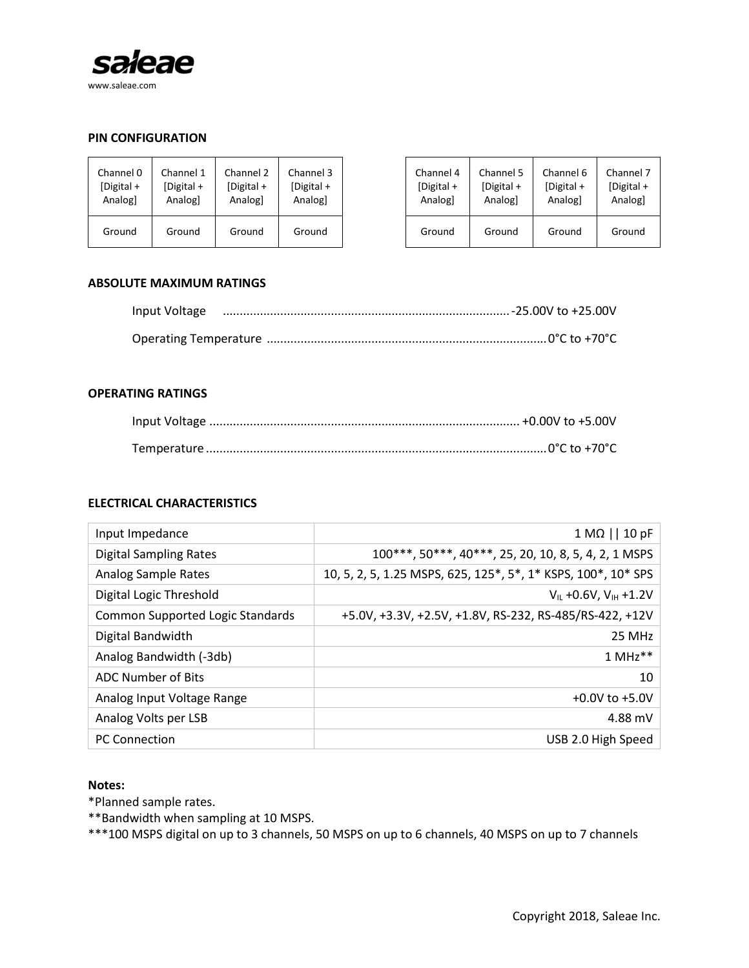

# **PIN CONFIGURATION**

| Channel 0  | Channel 1          | Channel 2     | Channel 3  |
|------------|--------------------|---------------|------------|
| [Digital + | $\lceil$ Digital + | $[Digital +]$ | [Digital + |
| Analogl    | Analog1            | Analog]       | Analogl    |
| Ground     | Ground             | Ground        | Ground     |

| hannel 0  | Channel 1  | Channel 2  | Channel 3  | Channel 4    | Channel 5  | Channel 6  | Channel 7  |
|-----------|------------|------------|------------|--------------|------------|------------|------------|
| Digital + | [Digital + | [Digital + | [Digital + | [Digital $+$ | [Digital + | [Digital + | [Digital + |
| Analog]   | Analog     | Analog     | Analogl    | Analog       | Analog     | Analogl    | Analog     |
| Ground    | Ground     | Ground     | Ground     | Ground       | Ground     | Ground     | Ground     |

#### **ABSOLUTE MAXIMUM RATINGS**

| Input Voltage |  |
|---------------|--|
|               |  |

#### **OPERATING RATINGS**

#### **ELECTRICAL CHARACTERISTICS**

| Input Impedance                         | $1 M\Omega$   $10 pF$                                         |
|-----------------------------------------|---------------------------------------------------------------|
| <b>Digital Sampling Rates</b>           | 100***, 50***, 40***, 25, 20, 10, 8, 5, 4, 2, 1 MSPS          |
| Analog Sample Rates                     | 10, 5, 2, 5, 1.25 MSPS, 625, 125*, 5*, 1* KSPS, 100*, 10* SPS |
| Digital Logic Threshold                 | $V_{IL}$ +0.6V, $V_{IH}$ +1.2V                                |
| <b>Common Supported Logic Standards</b> | +5.0V, +3.3V, +2.5V, +1.8V, RS-232, RS-485/RS-422, +12V       |
| Digital Bandwidth                       | 25 MHz                                                        |
| Analog Bandwidth (-3db)                 | $1$ MHz <sup>**</sup>                                         |
| <b>ADC Number of Bits</b>               | 10                                                            |
| Analog Input Voltage Range              | $+0.0V$ to $+5.0V$                                            |
| Analog Volts per LSB                    | 4.88 mV                                                       |
| <b>PC Connection</b>                    | USB 2.0 High Speed                                            |

#### **Notes:**

\*Planned sample rates.

\*\*Bandwidth when sampling at 10 MSPS.

\*\*\*100 MSPS digital on up to 3 channels, 50 MSPS on up to 6 channels, 40 MSPS on up to 7 channels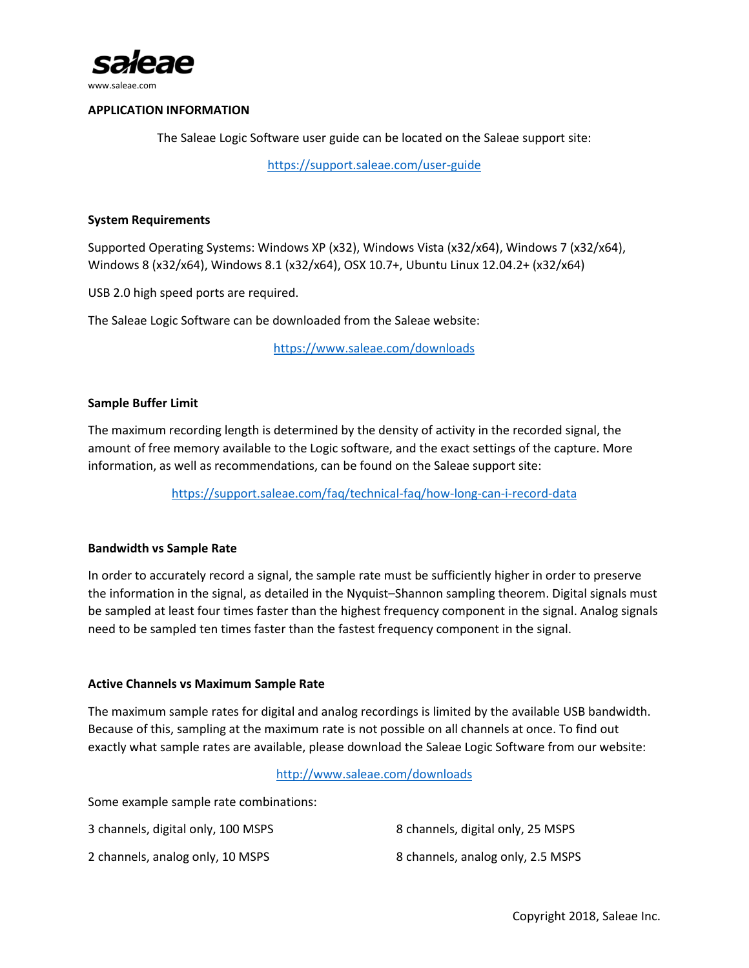

www.saleae.com

# **APPLICATION INFORMATION**

The Saleae Logic Software user guide can be located on the Saleae support site:

<https://support.saleae.com/user-guide>

## **System Requirements**

Supported Operating Systems: Windows XP (x32), Windows Vista (x32/x64), Windows 7 (x32/x64), Windows 8 (x32/x64), Windows 8.1 (x32/x64), OSX 10.7+, Ubuntu Linux 12.04.2+ (x32/x64)

USB 2.0 high speed ports are required.

The Saleae Logic Software can be downloaded from the Saleae website:

<https://www.saleae.com/downloads>

# **Sample Buffer Limit**

The maximum recording length is determined by the density of activity in the recorded signal, the amount of free memory available to the Logic software, and the exact settings of the capture. More information, as well as recommendations, can be found on the Saleae support site:

<https://support.saleae.com/faq/technical-faq/how-long-can-i-record-data>

## **Bandwidth vs Sample Rate**

In order to accurately record a signal, the sample rate must be sufficiently higher in order to preserve the information in the signal, as detailed in the Nyquist–Shannon sampling theorem. Digital signals must be sampled at least four times faster than the highest frequency component in the signal. Analog signals need to be sampled ten times faster than the fastest frequency component in the signal.

## **Active Channels vs Maximum Sample Rate**

The maximum sample rates for digital and analog recordings is limited by the available USB bandwidth. Because of this, sampling at the maximum rate is not possible on all channels at once. To find out exactly what sample rates are available, please download the Saleae Logic Software from our website:

<http://www.saleae.com/downloads>

Some example sample rate combinations:

| 3 channels, digital only, 100 MSPS | 8 channels, digital only, 25 MSPS |
|------------------------------------|-----------------------------------|
| 2 channels, analog only, 10 MSPS   | 8 channels, analog only, 2.5 MSPS |